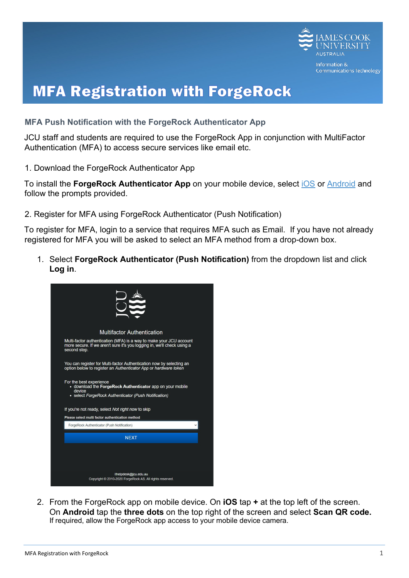

## **MFA Registration with ForgeRock**

## **MFA Push Notification with the ForgeRock Authenticator App**

JCU staff and students are required to use the ForgeRock App in conjunction with MultiFactor Authentication (MFA) to access secure services like email etc.

1. Download the ForgeRock Authenticator App

To install the **ForgeRock Authenticator App** on your mobile device, select [iOS](https://apps.apple.com/au/app/forgerock-authenticator/id1038442926) or [Android](https://play.google.com/store/apps/details?id=com.forgerock.authenticator) and follow the prompts provided.

2. Register for MFA using ForgeRock Authenticator (Push Notification)

To register for MFA, login to a service that requires MFA such as Email. If you have not already registered for MFA you will be asked to select an MFA method from a drop-down box.

1. Select **ForgeRock Authenticator (Push Notification)** from the dropdown list and click **Log in**.



2. From the ForgeRock app on mobile device. On **iOS** tap **+** at the top left of the screen. On **Android** tap the **three dots** on the top right of the screen and select **Scan QR code.**  If required, allow the ForgeRock app access to your mobile device camera.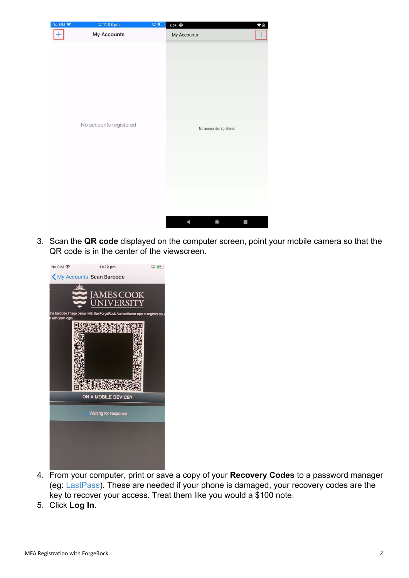| No SIM 字 | □ 11:08 pm             | Q <sub>0</sub> | 2:57 3                 | $\bullet$ 0 |
|----------|------------------------|----------------|------------------------|-------------|
|          | My Accounts            |                | My Accounts            |             |
|          | No accounts registered |                | No accounts registered |             |
|          |                        |                |                        |             |
|          |                        |                | 4<br>۰                 | n           |

3. Scan the **QR code** displayed on the computer screen, point your mobile camera so that the QR code is in the center of the viewscreen.



- 4. From your computer, print or save a copy of your **Recovery Codes** to a password manager (eg: [LastPass\).](https://jamescookuniversity.sharepoint.com/sites/ICTCommsHub/SitePages/LastPass-for-JCU.aspx) These are needed if your phone is damaged, your recovery codes are the key to recover your access. Treat them like you would a \$100 note.
- 5. Click **Log In**.